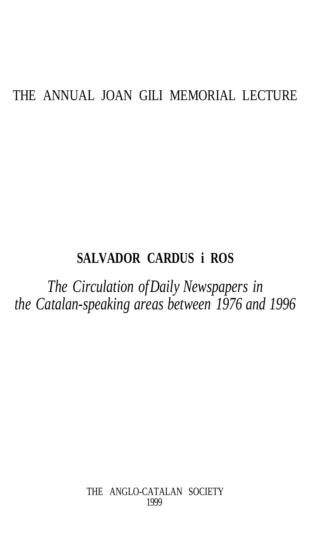# THE ANNUAL JOAN GILI MEMORIAL LECTURE

# **SALVADOR CARDUS i ROS**

*The Circulation of Daily Newspapers in the Catalan-speaking areas between 1976 and 1996*

> THE ANGLO-CATALAN SOCIETY 1999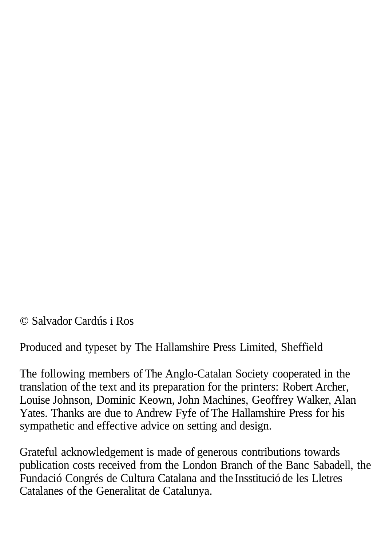© Salvador Cardús i Ros

Produced and typeset by The Hallamshire Press Limited, Sheffield

The following members of The Anglo-Catalan Society cooperated in the translation of the text and its preparation for the printers: Robert Archer, Louise Johnson, Dominic Keown, John Machines, Geoffrey Walker, Alan Yates. Thanks are due to Andrew Fyfe of The Hallamshire Press for his sympathetic and effective advice on setting and design.

Grateful acknowledgement is made of generous contributions towards publication costs received from the London Branch of the Banc Sabadell, the Fundació Congrés de Cultura Catalana and the Insstitució de les Lletres Catalanes of the Generalitat de Catalunya.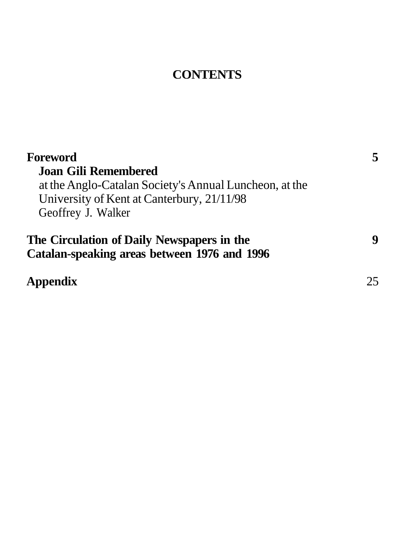# **CONTENTS**

| Foreword                                                                                   | 5  |
|--------------------------------------------------------------------------------------------|----|
| Joan Gili Remembered                                                                       |    |
| at the Anglo-Catalan Society's Annual Luncheon, at the                                     |    |
| University of Kent at Canterbury, 21/11/98                                                 |    |
| Geoffrey J. Walker                                                                         |    |
| The Circulation of Daily Newspapers in the<br>Catalan-speaking areas between 1976 and 1996 | 9  |
| Appendix                                                                                   | 25 |
|                                                                                            |    |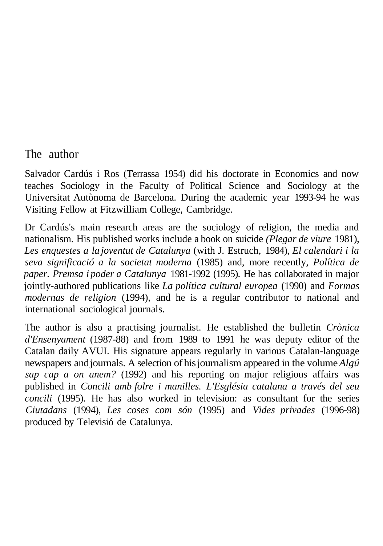### The author

Salvador Cardús i Ros (Terrassa 1954) did his doctorate in Economics and now teaches Sociology in the Faculty of Political Science and Sociology at the Universitat Autònoma de Barcelona. During the academic year 1993-94 he was Visiting Fellow at Fitzwilliam College, Cambridge.

Dr Cardús's main research areas are the sociology of religion, the media and nationalism. His published works include a book on suicide *(Plegar de viure* 1981), *Les enquestes a la joventut de Catalunya* (with J. Estruch, 1984), *El calendari i la seva significació a la societat moderna* (1985) and, more recently, *Política de paper. Premsa i poder a Catalunya* 1981-1992 (1995). He has collaborated in major jointly-authored publications like *La política cultural europea* (1990) and *Formas modernas de religion* (1994), and he is a regular contributor to national and international sociological journals.

The author is also a practising journalist. He established the bulletin *Crònica d'Ensenyament* (1987-88) and from 1989 to 1991 he was deputy editor of the Catalan daily AVUI. His signature appears regularly in various Catalan-language newspapers and journals. A selection of his journalism appeared in the volume *Algú sap cap a on anem?* (1992) and his reporting on major religious affairs was published in *Concili amb folre i manilles. L'Església catalana a través del seu concili* (1995). He has also worked in television: as consultant for the series *Ciutadans* (1994), *Les coses com són* (1995) and *Vides privades* (1996-98) produced by Televisió de Catalunya.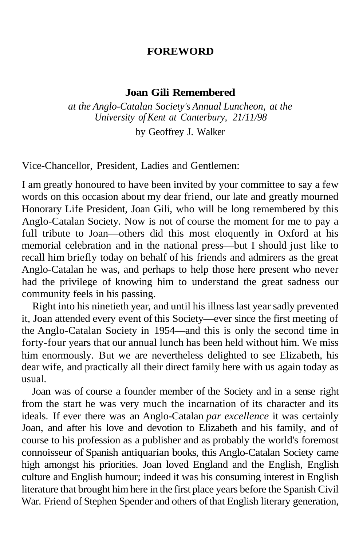#### **FOREWORD**

#### **Joan Gili Remembered**

*at the Anglo-Catalan Society's Annual Luncheon, at the University of Kent at Canterbury, 21/11/98*

by Geoffrey J. Walker

Vice-Chancellor, President, Ladies and Gentlemen:

I am greatly honoured to have been invited by your committee to say a few words on this occasion about my dear friend, our late and greatly mourned Honorary Life President, Joan Gili, who will be long remembered by this Anglo-Catalan Society. Now is not of course the moment for me to pay a full tribute to Joan—others did this most eloquently in Oxford at his memorial celebration and in the national press—but I should just like to recall him briefly today on behalf of his friends and admirers as the great Anglo-Catalan he was, and perhaps to help those here present who never had the privilege of knowing him to understand the great sadness our community feels in his passing.

Right into his ninetieth year, and until his illness last year sadly prevented it, Joan attended every event of this Society—ever since the first meeting of the Anglo-Catalan Society in 1954—and this is only the second time in forty-four years that our annual lunch has been held without him. We miss him enormously. But we are nevertheless delighted to see Elizabeth, his dear wife, and practically all their direct family here with us again today as usual.

Joan was of course a founder member of the Society and in a sense right from the start he was very much the incarnation of its character and its ideals. If ever there was an Anglo-Catalan *par excellence* it was certainly Joan, and after his love and devotion to Elizabeth and his family, and of course to his profession as a publisher and as probably the world's foremost connoisseur of Spanish antiquarian books, this Anglo-Catalan Society came high amongst his priorities. Joan loved England and the English, English culture and English humour; indeed it was his consuming interest in English literature that brought him here in the first place years before the Spanish Civil War. Friend of Stephen Spender and others of that English literary generation,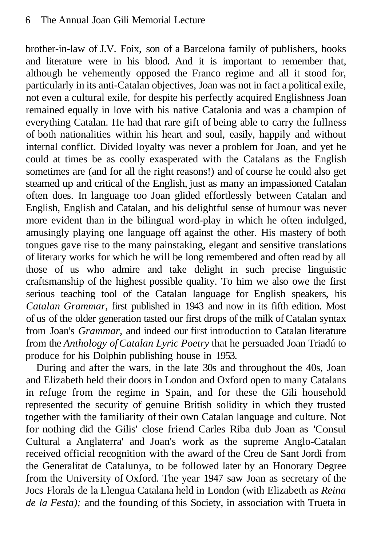brother-in-law of J.V. Foix, son of a Barcelona family of publishers, books and literature were in his blood. And it is important to remember that, although he vehemently opposed the Franco regime and all it stood for, particularly in its anti-Catalan objectives, Joan was not in fact a political exile, not even a cultural exile, for despite his perfectly acquired Englishness Joan remained equally in love with his native Catalonia and was a champion of everything Catalan. He had that rare gift of being able to carry the fullness of both nationalities within his heart and soul, easily, happily and without internal conflict. Divided loyalty was never a problem for Joan, and yet he could at times be as coolly exasperated with the Catalans as the English sometimes are (and for all the right reasons!) and of course he could also get steamed up and critical of the English, just as many an impassioned Catalan often does. In language too Joan glided effortlessly between Catalan and English, English and Catalan, and his delightful sense of humour was never more evident than in the bilingual word-play in which he often indulged, amusingly playing one language off against the other. His mastery of both tongues gave rise to the many painstaking, elegant and sensitive translations of literary works for which he will be long remembered and often read by all those of us who admire and take delight in such precise linguistic craftsmanship of the highest possible quality. To him we also owe the first serious teaching tool of the Catalan language for English speakers, his *Catalan Grammar,* first published in 1943 and now in its fifth edition. Most of us of the older generation tasted our first drops of the milk of Catalan syntax from Joan's *Grammar,* and indeed our first introduction to Catalan literature from the *Anthology of Catalan Lyric Poetry* that he persuaded Joan Triadú to produce for his Dolphin publishing house in 1953.

During and after the wars, in the late 30s and throughout the 40s, Joan and Elizabeth held their doors in London and Oxford open to many Catalans in refuge from the regime in Spain, and for these the Gili household represented the security of genuine British solidity in which they trusted together with the familiarity of their own Catalan language and culture. Not for nothing did the Gilis' close friend Carles Riba dub Joan as 'Consul Cultural a Anglaterra' and Joan's work as the supreme Anglo-Catalan received official recognition with the award of the Creu de Sant Jordi from the Generalitat de Catalunya, to be followed later by an Honorary Degree from the University of Oxford. The year 1947 saw Joan as secretary of the Jocs Florals de la Llengua Catalana held in London (with Elizabeth as *Reina de la Festa);* and the founding of this Society, in association with Trueta in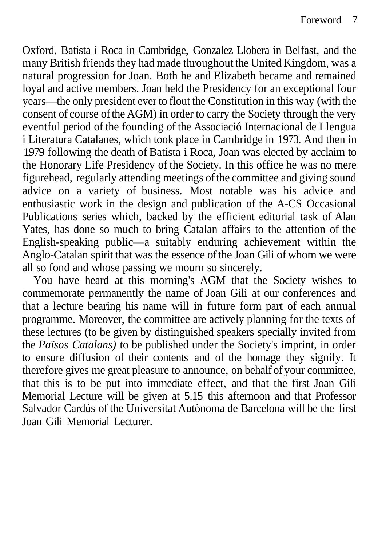Oxford, Batista i Roca in Cambridge, Gonzalez Llobera in Belfast, and the many British friends they had made throughout the United Kingdom, was a natural progression for Joan. Both he and Elizabeth became and remained loyal and active members. Joan held the Presidency for an exceptional four years—the only president ever to flout the Constitution in this way (with the consent of course of the AGM) in order to carry the Society through the very eventful period of the founding of the Associació Internacional de Llengua i Literatura Catalanes, which took place in Cambridge in 1973. And then in 1979 following the death of Batista i Roca, Joan was elected by acclaim to the Honorary Life Presidency of the Society. In this office he was no mere figurehead, regularly attending meetings of the committee and giving sound advice on a variety of business. Most notable was his advice and enthusiastic work in the design and publication of the A-CS Occasional Publications series which, backed by the efficient editorial task of Alan Yates, has done so much to bring Catalan affairs to the attention of the English-speaking public—a suitably enduring achievement within the Anglo-Catalan spirit that was the essence of the Joan Gili of whom we were all so fond and whose passing we mourn so sincerely.

You have heard at this morning's AGM that the Society wishes to commemorate permanently the name of Joan Gili at our conferences and that a lecture bearing his name will in future form part of each annual programme. Moreover, the committee are actively planning for the texts of these lectures (to be given by distinguished speakers specially invited from the *Països Catalans)* to be published under the Society's imprint, in order to ensure diffusion of their contents and of the homage they signify. It therefore gives me great pleasure to announce, on behalf of your committee, that this is to be put into immediate effect, and that the first Joan Gili Memorial Lecture will be given at 5.15 this afternoon and that Professor Salvador Cardús of the Universitat Autònoma de Barcelona will be the first Joan Gili Memorial Lecturer.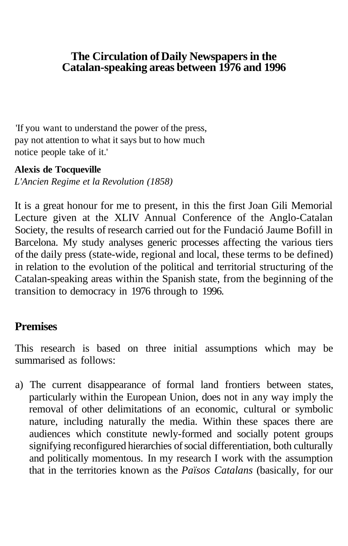## **The Circulation of Daily Newspapers in the Catalan-speaking areas between 1976 and 1996**

'If you want to understand the power of the press, pay not attention to what it says but to how much notice people take of it.'

### **Alexis de Tocqueville**

*L'Ancien Regime et la Revolution (1858)*

It is a great honour for me to present, in this the first Joan Gili Memorial Lecture given at the XLIV Annual Conference of the Anglo-Catalan Society, the results of research carried out for the Fundació Jaume Bofill in Barcelona. My study analyses generic processes affecting the various tiers of the daily press (state-wide, regional and local, these terms to be defined) in relation to the evolution of the political and territorial structuring of the Catalan-speaking areas within the Spanish state, from the beginning of the transition to democracy in 1976 through to 1996.

# **Premises**

This research is based on three initial assumptions which may be summarised as follows:

a) The current disappearance of formal land frontiers between states, particularly within the European Union, does not in any way imply the removal of other delimitations of an economic, cultural or symbolic nature, including naturally the media. Within these spaces there are audiences which constitute newly-formed and socially potent groups signifying reconfigured hierarchies of social differentiation, both culturally and politically momentous. In my research I work with the assumption that in the territories known as the *Països Catalans* (basically, for our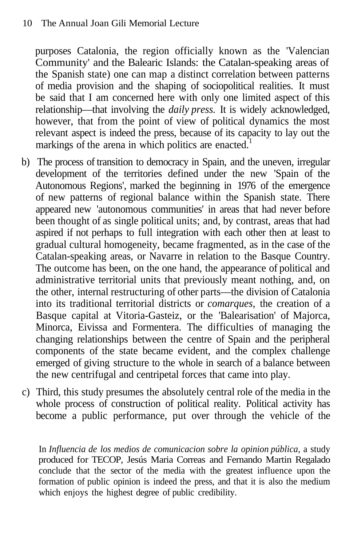purposes Catalonia, the region officially known as the 'Valencian Community' and the Balearic Islands: the Catalan-speaking areas of the Spanish state) one can map a distinct correlation between patterns of media provision and the shaping of sociopolitical realities. It must be said that I am concerned here with only one limited aspect of this relationship—that involving the *daily press.* It is widely acknowledged, however, that from the point of view of political dynamics the most relevant aspect is indeed the press, because of its capacity to lay out the markings of the arena in which politics are enacted.<sup>1</sup>

- b) The process of transition to democracy in Spain, and the uneven, irregular development of the territories defined under the new 'Spain of the Autonomous Regions', marked the beginning in 1976 of the emergence of new patterns of regional balance within the Spanish state. There appeared new 'autonomous communities' in areas that had never before been thought of as single political units; and, by contrast, areas that had aspired if not perhaps to full integration with each other then at least to gradual cultural homogeneity, became fragmented, as in the case of the Catalan-speaking areas, or Navarre in relation to the Basque Country. The outcome has been, on the one hand, the appearance of political and administrative territorial units that previously meant nothing, and, on the other, internal restructuring of other parts—the division of Catalonia into its traditional territorial districts or *comarques,* the creation of a Basque capital at Vitoria-Gasteiz, or the 'Balearisation' of Majorca, Minorca, Eivissa and Formentera. The difficulties of managing the changing relationships between the centre of Spain and the peripheral components of the state became evident, and the complex challenge emerged of giving structure to the whole in search of a balance between the new centrifugal and centripetal forces that came into play.
- c) Third, this study presumes the absolutely central role of the media in the whole process of construction of political reality. Political activity has become a public performance, put over through the vehicle of the

In *Influencia de los medios de comunicacion sobre la opinion pública,* a study produced for TECOP, Jesús Maria Correas and Fernando Martin Regalado conclude that the sector of the media with the greatest influence upon the formation of public opinion is indeed the press, and that it is also the medium which enjoys the highest degree of public credibility.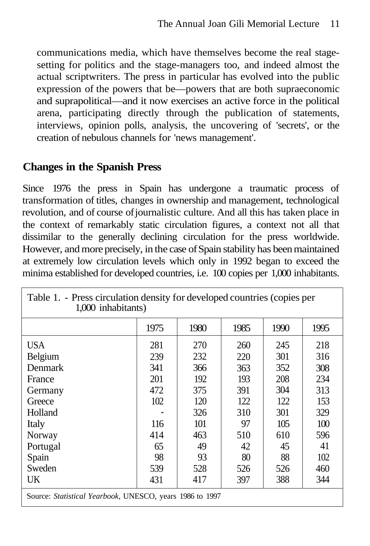communications media, which have themselves become the real stagesetting for politics and the stage-managers too, and indeed almost the actual scriptwriters. The press in particular has evolved into the public expression of the powers that be—powers that are both supraeconomic and suprapolitical—and it now exercises an active force in the political arena, participating directly through the publication of statements, interviews, opinion polls, analysis, the uncovering of 'secrets', or the creation of nebulous channels for 'news management'.

# **Changes in the Spanish Press**

Since 1976 the press in Spain has undergone a traumatic process of transformation of titles, changes in ownership and management, technological revolution, and of course of journalistic culture. And all this has taken place in the context of remarkably static circulation figures, a context not all that dissimilar to the generally declining circulation for the press worldwide. However, and more precisely, in the case of Spain stability has been maintained at extremely low circulation levels which only in 1992 began to exceed the minima established for developed countries, i.e. 100 copies per 1,000 inhabitants.

Table 1. - Press circulation density for developed countries (copies per

| л.<br>л.<br>1,000 inhabitants)                           |      |      |      |      |      |  |
|----------------------------------------------------------|------|------|------|------|------|--|
|                                                          | 1975 | 1980 | 1985 | 1990 | 1995 |  |
| <b>USA</b>                                               | 281  | 270  | 260  | 245  | 218  |  |
| Belgium                                                  | 239  | 232  | 220  | 301  | 316  |  |
| Denmark                                                  | 341  | 366  | 363  | 352  | 308  |  |
| France                                                   | 201  | 192  | 193  | 208  | 234  |  |
| Germany                                                  | 472  | 375  | 391  | 304  | 313  |  |
| Greece                                                   | 102  | 120  | 122  | 122  | 153  |  |
| Holland                                                  |      | 326  | 310  | 301  | 329  |  |
| Italy                                                    | 116  | 101  | 97   | 105  | 100  |  |
| Norway                                                   | 414  | 463  | 510  | 610  | 596  |  |
| Portugal                                                 | 65   | 49   | 42   | 45   | 41   |  |
| Spain                                                    | 98   | 93   | 80   | 88   | 102  |  |
| Sweden                                                   | 539  | 528  | 526  | 526  | 460  |  |
| UK                                                       | 431  | 417  | 397  | 388  | 344  |  |
| Source: Statistical Yearbook, UNESCO, years 1986 to 1997 |      |      |      |      |      |  |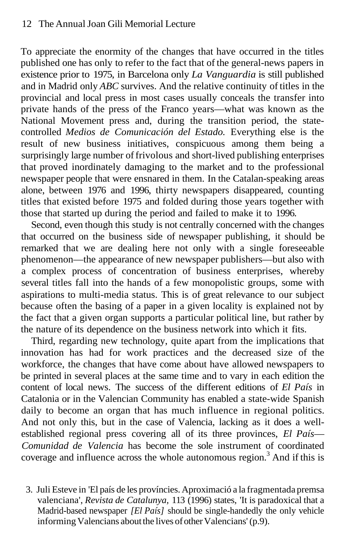To appreciate the enormity of the changes that have occurred in the titles published one has only to refer to the fact that of the general-news papers in existence prior to 1975, in Barcelona only *La Vanguardia* is still published and in Madrid only *ABC* survives. And the relative continuity of titles in the provincial and local press in most cases usually conceals the transfer into private hands of the press of the Franco years—what was known as the National Movement press and, during the transition period, the statecontrolled *Medios de Comunicación del Estado.* Everything else is the result of new business initiatives, conspicuous among them being a surprisingly large number of frivolous and short-lived publishing enterprises that proved inordinately damaging to the market and to the professional newspaper people that were ensnared in them. In the Catalan-speaking areas alone, between 1976 and 1996, thirty newspapers disappeared, counting titles that existed before 1975 and folded during those years together with those that started up during the period and failed to make it to 1996.

Second, even though this study is not centrally concerned with the changes that occurred on the business side of newspaper publishing, it should be remarked that we are dealing here not only with a single foreseeable phenomenon—the appearance of new newspaper publishers—but also with a complex process of concentration of business enterprises, whereby several titles fall into the hands of a few monopolistic groups, some with aspirations to multi-media status. This is of great relevance to our subject because often the basing of a paper in a given locality is explained not by the fact that a given organ supports a particular political line, but rather by the nature of its dependence on the business network into which it fits.

Third, regarding new technology, quite apart from the implications that innovation has had for work practices and the decreased size of the workforce, the changes that have come about have allowed newspapers to be printed in several places at the same time and to vary in each edition the content of local news. The success of the different editions of *El País* in Catalonia or in the Valencian Community has enabled a state-wide Spanish daily to become an organ that has much influence in regional politics. And not only this, but in the case of Valencia, lacking as it does a wellestablished regional press covering all of its three provinces, *El País*— *Comunidad de Valencia* has become the sole instrument of coordinated coverage and influence across the whole autonomous region.<sup>3</sup> And if this is

3. Juli Esteve in 'El país de les províncies. Aproximació a la fragmentada premsa valenciana', *Revista de Catalunya,* 113 (1996) states, 'It is paradoxical that a Madrid-based newspaper *[El País]* should be single-handedly the only vehicle informing Valencians about the lives of other Valencians' (p.9).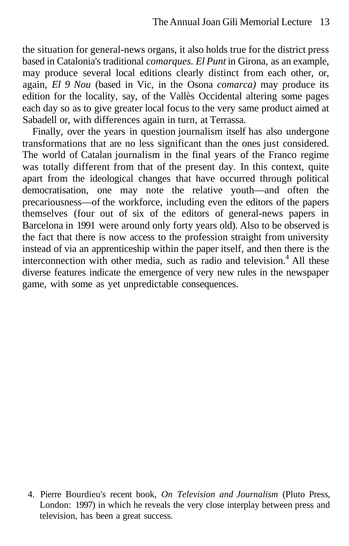the situation for general-news organs, it also holds true for the district press based in Catalonia's traditional *comarques. El Punt* in Girona, as an example, may produce several local editions clearly distinct from each other, or, again, *El 9 Nou* (based in Vic, in the Osona *comarca)* may produce its edition for the locality, say, of the Vallès Occidental altering some pages each day so as to give greater local focus to the very same product aimed at Sabadell or, with differences again in turn, at Terrassa.

Finally, over the years in question journalism itself has also undergone transformations that are no less significant than the ones just considered. The world of Catalan journalism in the final years of the Franco regime was totally different from that of the present day. In this context, quite apart from the ideological changes that have occurred through political democratisation, one may note the relative youth—and often the precariousness—of the workforce, including even the editors of the papers themselves (four out of six of the editors of general-news papers in Barcelona in 1991 were around only forty years old). Also to be observed is the fact that there is now access to the profession straight from university instead of via an apprenticeship within the paper itself, and then there is the interconnection with other media, such as radio and television.<sup>4</sup> All these diverse features indicate the emergence of very new rules in the newspaper game, with some as yet unpredictable consequences.

4. Pierre Bourdieu's recent book, *On Television and Journalism* (Pluto Press, London: 1997) in which he reveals the very close interplay between press and television, has been a great success.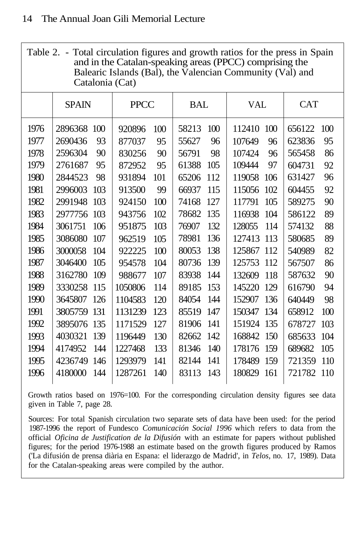Table 2. - Total circulation figures and growth ratios for the press in Spain and in the Catalan-speaking areas (PPCC) comprising the Balearic Islands (Bal), the Valencian Community (Val) and Catalonia (Cat)

|      | <b>SPAIN</b> | <b>PPCC</b> | BAL   | VAL    | <b>CAT</b> |
|------|--------------|-------------|-------|--------|------------|
| 1976 | 2896368      | 920896      | 100   | 112410 | 656122     |
|      | 100          | 100         | 58213 | 100    | 100        |
| 1977 | 2690436      | 95          | 55627 | 107649 | 623836     |
|      | 93           | 877037      | 96    | 96     | 95         |
| 1978 | 2596304      | 830256      | 56791 | 107424 | 565458     |
|      | 90           | 90          | 98    | 96     | 86         |
| 1979 | 2761687      | 95          | 105   | 97     | 604731     |
|      | 95           | 872952      | 61388 | 109444 | 92         |
| 1980 | 2844523      | 931894      | 65206 | 119058 | 631427     |
|      | 98           | 101         | 112   | 106    | 96         |
| 1981 | 2996003      | 99          | 66937 | 115056 | 604455     |
|      | 103          | 913500      | 115   | 102    | 92         |
| 1982 | 2991948      | 100         | 127   | 105    | 90         |
|      | 103          | 924150      | 74168 | 117791 | 589275     |
| 1983 | 2977756      | 943756      | 78682 | 104    | 89         |
|      | 103          | 102         | 135   | 116938 | 586122     |
| 1984 | 3061751      | 103         | 132   | 128055 | 88         |
|      | 106          | 951875      | 76907 | 114    | 574132     |
| 1985 | 3086080      | 105         | 136   | 127413 | 89         |
|      | 107          | 962519      | 78981 | 113    | 580685     |
| 1986 | 3000058      | 100         | 138   | 125867 | 540989     |
|      | 104          | 922225      | 80053 | 112    | 82         |
| 1987 | 3046400      | 104         | 80736 | 125753 | 86         |
|      | 105          | 954578      | 139   | 112    | 567507     |
| 1988 | 3162780      | 107         | 83938 | 118    | 587632     |
|      | 109          | 988677      | 144   | 132609 | 90         |
| 1989 | 3330258      | 1050806     | 89185 | 145220 | 616790     |
|      | 115          | 114         | 153   | 129    | 94         |
| 1990 | 3645807      | 1104583     | 84054 | 152907 | 640449     |
|      | 126          | 120         | 144   | 136    | 98         |
| 1991 | 3805759      | 1131239     | 85519 | 150347 | 100        |
|      | 131          | 123         | 147   | 134    | 658912     |
| 1992 | 3895076      | 1171529     | 81906 | 151924 | 678727     |
|      | 135          | 127         | 141   | 135    | 103        |
| 1993 | 4030321      | 130         | 82662 | 168842 | 685633     |
|      | 139          | 1196449     | 142   | 150    | 104        |
| 1994 | 4174952      | 133         | 81346 | 178176 | 105        |
|      | 144          | 1227468     | 140   | 159    | 689682     |
| 1995 | 4236749      | 1293979     | 82144 | 178489 | 721359     |
|      | 146          | 141         | 141   | 159    | 110        |
| 1996 | 4180000      | 1287261     | 83113 | 180829 | 721782     |
|      | 144          | 140         | 143   | 161    | 110        |
|      |              |             |       |        |            |

Growth ratios based on 1976=100. For the corresponding circulation density figures see data given in Table 7, page 28.

Sources: For total Spanish circulation two separate sets of data have been used: for the period 1987-1996 the report of Fundesco *Comunicación Social 1996* which refers to data from the official *Oficina de Justification de la Difusión* with an estimate for papers without published figures; for the period 1976-1988 an estimate based on the growth figures produced by Ramos ('La difusión de prensa diària en Espana: el liderazgo de Madrid', in *Telos,* no. 17, 1989). Data for the Catalan-speaking areas were compiled by the author.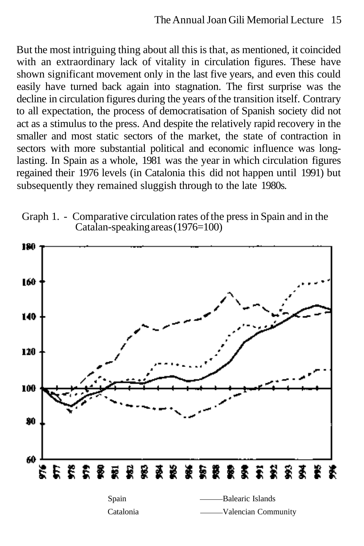But the most intriguing thing about all this is that, as mentioned, it coincided with an extraordinary lack of vitality in circulation figures. These have shown significant movement only in the last five years, and even this could easily have turned back again into stagnation. The first surprise was the decline in circulation figures during the years of the transition itself. Contrary to all expectation, the process of democratisation of Spanish society did not act as a stimulus to the press. And despite the relatively rapid recovery in the smaller and most static sectors of the market, the state of contraction in sectors with more substantial political and economic influence was longlasting. In Spain as a whole, 1981 was the year in which circulation figures regained their 1976 levels (in Catalonia this did not happen until 1991) but subsequently they remained sluggish through to the late 1980s.



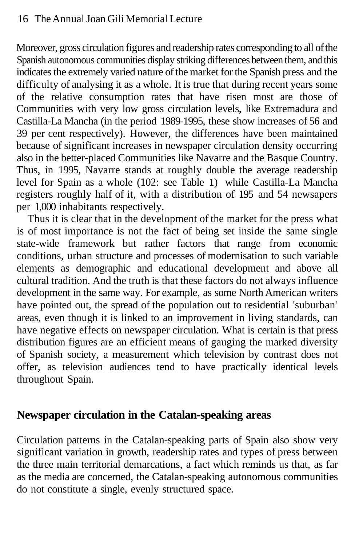Moreover, gross circulation figures and readership rates corresponding to all of the Spanish autonomous communities display striking differences between them, and this indicates the extremely varied nature of the market for the Spanish press and the difficulty of analysing it as a whole. It is true that during recent years some of the relative consumption rates that have risen most are those of Communities with very low gross circulation levels, like Extremadura and Castilla-La Mancha (in the period 1989-1995, these show increases of 56 and 39 per cent respectively). However, the differences have been maintained because of significant increases in newspaper circulation density occurring also in the better-placed Communities like Navarre and the Basque Country. Thus, in 1995, Navarre stands at roughly double the average readership level for Spain as a whole (102: see Table 1) while Castilla-La Mancha registers roughly half of it, with a distribution of 195 and 54 newsapers per 1,000 inhabitants respectively.

Thus it is clear that in the development of the market for the press what is of most importance is not the fact of being set inside the same single state-wide framework but rather factors that range from economic conditions, urban structure and processes of modernisation to such variable elements as demographic and educational development and above all cultural tradition. And the truth is that these factors do not always influence development in the same way. For example, as some North American writers have pointed out, the spread of the population out to residential 'suburban' areas, even though it is linked to an improvement in living standards, can have negative effects on newspaper circulation. What is certain is that press distribution figures are an efficient means of gauging the marked diversity of Spanish society, a measurement which television by contrast does not offer, as television audiences tend to have practically identical levels throughout Spain.

# **Newspaper circulation in the Catalan-speaking areas**

Circulation patterns in the Catalan-speaking parts of Spain also show very significant variation in growth, readership rates and types of press between the three main territorial demarcations, a fact which reminds us that, as far as the media are concerned, the Catalan-speaking autonomous communities do not constitute a single, evenly structured space.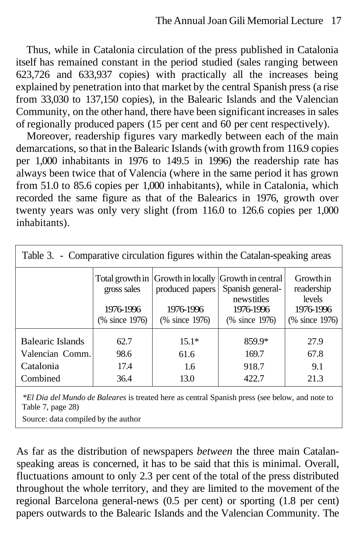Thus, while in Catalonia circulation of the press published in Catalonia itself has remained constant in the period studied (sales ranging between 623,726 and 633,937 copies) with practically all the increases being explained by penetration into that market by the central Spanish press (a rise from 33,030 to 137,150 copies), in the Balearic Islands and the Valencian Community, on the other hand, there have been significant increases in sales of regionally produced papers (15 per cent and 60 per cent respectively).

Moreover, readership figures vary markedly between each of the main demarcations, so that in the Balearic Islands (with growth from 116.9 copies per 1,000 inhabitants in 1976 to 149.5 in 1996) the readership rate has always been twice that of Valencia (where in the same period it has grown from 51.0 to 85.6 copies per 1,000 inhabitants), while in Catalonia, which recorded the same figure as that of the Balearics in 1976, growth over twenty years was only very slight (from 116.0 to 126.6 copies per 1,000 inhabitants).

| Table 3. - Comparative circulation figures within the Catalan-speaking areas |                                            |                                                |                                                                                                                      |                                                                  |  |  |  |
|------------------------------------------------------------------------------|--------------------------------------------|------------------------------------------------|----------------------------------------------------------------------------------------------------------------------|------------------------------------------------------------------|--|--|--|
|                                                                              | gross sales<br>1976-1996<br>(% since 1976) | produced papers<br>1976-1996<br>(% since 1976) | Total growth in Growth in locally Growth in central<br>Spanish general-<br>newstitles<br>1976-1996<br>(% since 1976) | Growth in<br>readership<br>levels<br>1976-1996<br>(% since 1976) |  |  |  |
|                                                                              |                                            |                                                |                                                                                                                      |                                                                  |  |  |  |
| Balearic Islands                                                             | 62.7                                       | $15.1*$                                        | 859.9*                                                                                                               | 27.9                                                             |  |  |  |
| Valencian Comm.                                                              | 98.6                                       | 61.6                                           | 169.7                                                                                                                | 67.8                                                             |  |  |  |
| Catalonia                                                                    | 17.4                                       | 1.6                                            | 918.7                                                                                                                | 9.1                                                              |  |  |  |
| Combined                                                                     | 36.4                                       | 13.0                                           | 422.7                                                                                                                | 21.3                                                             |  |  |  |
|                                                                              |                                            |                                                |                                                                                                                      |                                                                  |  |  |  |

*\*El Dia del Mundo de Baleares* is treated here as central Spanish press (see below, and note to Table 7, page 28)

Source: data compiled by the author

As far as the distribution of newspapers *between* the three main Catalanspeaking areas is concerned, it has to be said that this is minimal. Overall, fluctuations amount to only 2.3 per cent of the total of the press distributed throughout the whole territory, and they are limited to the movement of the regional Barcelona general-news (0.5 per cent) or sporting (1.8 per cent) papers outwards to the Balearic Islands and the Valencian Community. The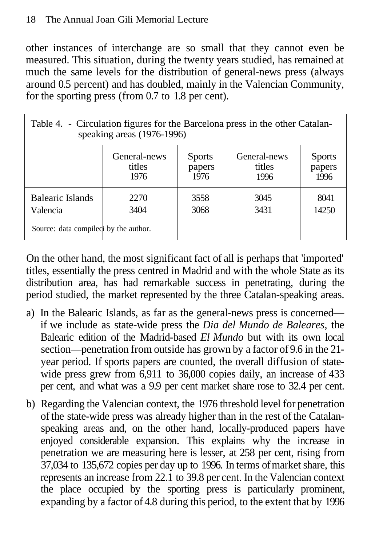### 18 The Annual Joan Gili Memorial Lecture

other instances of interchange are so small that they cannot even be measured. This situation, during the twenty years studied, has remained at much the same levels for the distribution of general-news press (always around 0.5 percent) and has doubled, mainly in the Valencian Community, for the sporting press (from 0.7 to 1.8 per cent).

| Table 4. - Circulation figures for the Barcelona press in the other Catalan-<br>speaking areas (1976-1996) |                                                                                                                                        |              |              |               |  |  |  |
|------------------------------------------------------------------------------------------------------------|----------------------------------------------------------------------------------------------------------------------------------------|--------------|--------------|---------------|--|--|--|
|                                                                                                            | General-news<br>General-news<br><b>Sports</b><br><b>Sports</b><br>titles<br>titles<br>papers<br>papers<br>1976<br>1976<br>1996<br>1996 |              |              |               |  |  |  |
| Balearic Islands<br>Valencia                                                                               | 2270<br>3404                                                                                                                           | 3558<br>3068 | 3045<br>3431 | 8041<br>14250 |  |  |  |
| Source: data compiled by the author.                                                                       |                                                                                                                                        |              |              |               |  |  |  |

On the other hand, the most significant fact of all is perhaps that 'imported' titles, essentially the press centred in Madrid and with the whole State as its distribution area, has had remarkable success in penetrating, during the period studied, the market represented by the three Catalan-speaking areas.

- a) In the Balearic Islands, as far as the general-news press is concerned if we include as state-wide press the *Dia del Mundo de Baleares,* the Balearic edition of the Madrid-based *El Mundo* but with its own local section—penetration from outside has grown by a factor of 9.6 in the 21 year period. If sports papers are counted, the overall diffusion of statewide press grew from 6,911 to 36,000 copies daily, an increase of 433 per cent, and what was a 9.9 per cent market share rose to 32.4 per cent.
- b) Regarding the Valencian context, the 1976 threshold level for penetration of the state-wide press was already higher than in the rest of the Catalanspeaking areas and, on the other hand, locally-produced papers have enjoyed considerable expansion. This explains why the increase in penetration we are measuring here is lesser, at 258 per cent, rising from 37,034 to 135,672 copies per day up to 1996. In terms of market share, this represents an increase from 22.1 to 39.8 per cent. In the Valencian context the place occupied by the sporting press is particularly prominent, expanding by a factor of 4.8 during this period, to the extent that by 1996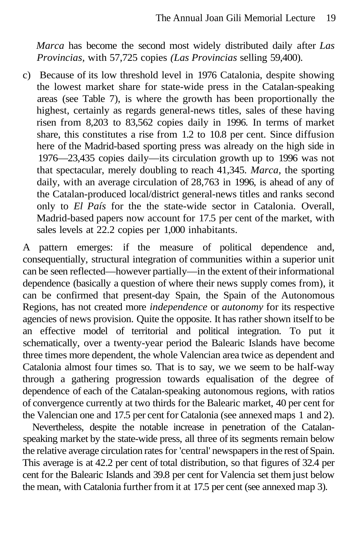*Marca* has become the second most widely distributed daily after *Las Provincias,* with 57,725 copies *(Las Provincias* selling 59,400).

c) Because of its low threshold level in 1976 Catalonia, despite showing the lowest market share for state-wide press in the Catalan-speaking areas (see Table 7), is where the growth has been proportionally the highest, certainly as regards general-news titles, sales of these having risen from 8,203 to 83,562 copies daily in 1996. In terms of market share, this constitutes a rise from 1.2 to 10.8 per cent. Since diffusion here of the Madrid-based sporting press was already on the high side in 1976—23,435 copies daily—its circulation growth up to 1996 was not that spectacular, merely doubling to reach 41,345. *Marca,* the sporting daily, with an average circulation of 28,763 in 1996, is ahead of any of the Catalan-produced local/district general-news titles and ranks second only to *El País* for the the state-wide sector in Catalonia. Overall, Madrid-based papers now account for 17.5 per cent of the market, with sales levels at 22.2 copies per 1,000 inhabitants.

A pattern emerges: if the measure of political dependence and, consequentially, structural integration of communities within a superior unit can be seen reflected—however partially—in the extent of their informational dependence (basically a question of where their news supply comes from), it can be confirmed that present-day Spain, the Spain of the Autonomous Regions, has not created more *independence* or *autonomy* for its respective agencies of news provision. Quite the opposite. It has rather shown itself to be an effective model of territorial and political integration. To put it schematically, over a twenty-year period the Balearic Islands have become three times more dependent, the whole Valencian area twice as dependent and Catalonia almost four times so. That is to say, we we seem to be half-way through a gathering progression towards equalisation of the degree of dependence of each of the Catalan-speaking autonomous regions, with ratios of convergence currently at two thirds for the Balearic market, 40 per cent for the Valencian one and 17.5 per cent for Catalonia (see annexed maps 1 and 2).

Nevertheless, despite the notable increase in penetration of the Catalanspeaking market by the state-wide press, all three of its segments remain below the relative average circulation rates for 'central' newspapers in the rest of Spain. This average is at 42.2 per cent of total distribution, so that figures of 32.4 per cent for the Balearic Islands and 39.8 per cent for Valencia set them just below the mean, with Catalonia further from it at 17.5 per cent (see annexed map 3).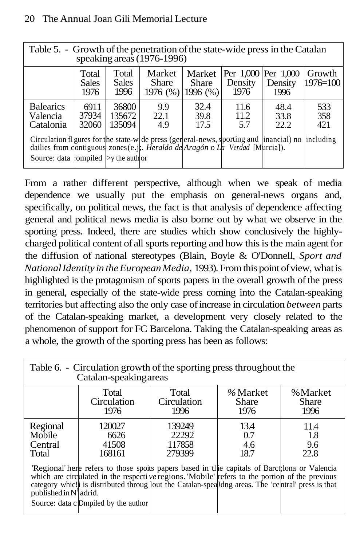### 20 The Annual Joan Gili Memorial Lecture

Table 5. - Growth of the penetration of the state-wide press in the Catalan speaking areas (1976-1996)

|                                                                                                                                                                                                                                       | Total<br><b>Sales</b><br>1976 | Total<br><b>Sales</b><br>1996 | Market<br><b>Share</b> | Market<br><b>Share</b><br>$1976$ (%) 1996 (%) | Density<br>1976     | Per 1,000 Per 1,000<br>Density<br>1996 | Growth<br>$1976 = 100$ |
|---------------------------------------------------------------------------------------------------------------------------------------------------------------------------------------------------------------------------------------|-------------------------------|-------------------------------|------------------------|-----------------------------------------------|---------------------|----------------------------------------|------------------------|
| <b>Balearics</b><br>Valencia<br>Catalonia                                                                                                                                                                                             | 6911<br>37934<br>32060        | 36800<br>135672<br>135094     | 9.9<br>22.1<br>4.9     | 32.4<br>39.8<br>17.5                          | 11.6<br>11.2<br>5.7 | 48.4<br>33.8<br>22.2                   | 533<br>358<br>421      |
| Circulation fl gures for the state-w de press (general-news, sporting and inancial) no including<br>dailies from contiguous zones (e.j., <i>Heraldo de Aragón</i> o La Verdad [Murcia]).<br>Source: data : compiled $ $ >y the author |                               |                               |                        |                                               |                     |                                        |                        |

From a rather different perspective, although when we speak of media dependence we usually put the emphasis on general-news organs and, specifically, on political news, the fact is that analysis of dependence affecting general and political news media is also borne out by what we observe in the sporting press. Indeed, there are studies which show conclusively the highlycharged political content of all sports reporting and how this is the main agent for the diffusion of national stereotypes (Blain, Boyle & O'Donnell, *Sport and National Identity in the European Media,* 1993). From this point of view, what is highlighted is the protagonism of sports papers in the overall growth of the press in general, especially of the state-wide press coming into the Catalan-speaking territories but affecting also the only case of increase in circulation *between* parts of the Catalan-speaking market, a development very closely related to the phenomenon of support for FC Barcelona. Taking the Catalan-speaking areas as a whole, the growth of the sporting press has been as follows:

| Table 6. - Circulation growth of the sporting press throughout the<br>Catalan-speaking areas                                                                                                                                                                                                                                 |                                   |                                     |                            |                            |  |  |
|------------------------------------------------------------------------------------------------------------------------------------------------------------------------------------------------------------------------------------------------------------------------------------------------------------------------------|-----------------------------------|-------------------------------------|----------------------------|----------------------------|--|--|
|                                                                                                                                                                                                                                                                                                                              | Total<br>Circulation<br>1976      | Total<br>Circulation<br>1996        | %Market<br>Share<br>1976   | % Market<br>Share<br>1996  |  |  |
| Regional<br>Mobile<br>Central<br>Total                                                                                                                                                                                                                                                                                       | 120027<br>6626<br>41508<br>168161 | 139249<br>22292<br>117858<br>279399 | 13.4<br>0.7<br>4.6<br>18.7 | 11.4<br>1.8<br>9.6<br>22.8 |  |  |
| Regional here refers to those spoils papers based in the capitals of Barct lona or Valencia<br>which are circulated in the respective regions. 'Mobile' refers to the portion of the previous<br>category whic! is distributed throug lout the Catalan-spealling areas. The 'central' press is that<br>published in N'adrid. |                                   |                                     |                            |                            |  |  |
| Source: data c Dmpiled by the author                                                                                                                                                                                                                                                                                         |                                   |                                     |                            |                            |  |  |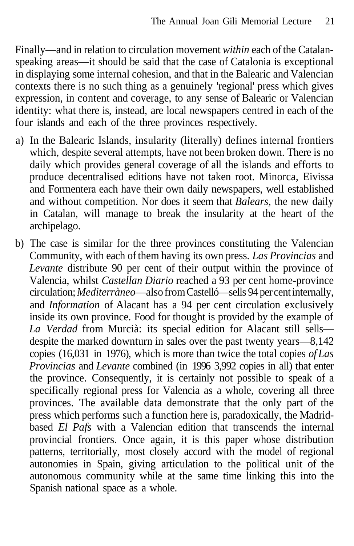Finally—and in relation to circulation movement *within* each of the Catalanspeaking areas—it should be said that the case of Catalonia is exceptional in displaying some internal cohesion, and that in the Balearic and Valencian contexts there is no such thing as a genuinely 'regional' press which gives expression, in content and coverage, to any sense of Balearic or Valencian identity: what there is, instead, are local newspapers centred in each of the four islands and each of the three provinces respectively.

- a) In the Balearic Islands, insularity (literally) defines internal frontiers which, despite several attempts, have not been broken down. There is no daily which provides general coverage of all the islands and efforts to produce decentralised editions have not taken root. Minorca, Eivissa and Formentera each have their own daily newspapers, well established and without competition. Nor does it seem that *Balears,* the new daily in Catalan, will manage to break the insularity at the heart of the archipelago.
- b) The case is similar for the three provinces constituting the Valencian Community, with each of them having its own press. *Las Provincias* and *Levante* distribute 90 per cent of their output within the province of Valencia, whilst *Castellan Diario* reached a 93 per cent home-province circulation; *Mediterràneo*—also from Castelló—sells 94 per cent internally, and *Information* of Alacant has a 94 per cent circulation exclusively inside its own province. Food for thought is provided by the example of *La Verdad* from Murcià: its special edition for Alacant still sells despite the marked downturn in sales over the past twenty years—8,142 copies (16,031 in 1976), which is more than twice the total copies *of Las Provincias* and *Levante* combined (in 1996 3,992 copies in all) that enter the province. Consequently, it is certainly not possible to speak of a specifically regional press for Valencia as a whole, covering all three provinces. The available data demonstrate that the only part of the press which performs such a function here is, paradoxically, the Madridbased *El Pafs* with a Valencian edition that transcends the internal provincial frontiers. Once again, it is this paper whose distribution patterns, territorially, most closely accord with the model of regional autonomies in Spain, giving articulation to the political unit of the autonomous community while at the same time linking this into the Spanish national space as a whole.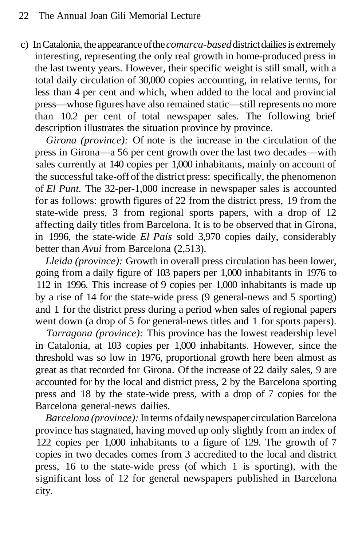c) In Catalonia, the appearance of the *comarca-based* district dailies is extremely interesting, representing the only real growth in home-produced press in the last twenty years. However, their specific weight is still small, with a total daily circulation of 30,000 copies accounting, in relative terms, for less than 4 per cent and which, when added to the local and provincial press—whose figures have also remained static—still represents no more than 10.2 per cent of total newspaper sales. The following brief description illustrates the situation province by province.

*Girona (province):* Of note is the increase in the circulation of the press in Girona—a 56 per cent growth over the last two decades—with sales currently at 140 copies per 1,000 inhabitants, mainly on account of the successful take-off of the district press: specifically, the phenomenon of *El Punt.* The 32-per-1,000 increase in newspaper sales is accounted for as follows: growth figures of 22 from the district press, 19 from the state-wide press, 3 from regional sports papers, with a drop of 12 affecting daily titles from Barcelona. It is to be observed that in Girona, in 1996, the state-wide *El País* sold 3,970 copies daily, considerably better than *Avui* from Barcelona (2,513).

*Lleida (province):* Growth in overall press circulation has been lower, going from a daily figure of 103 papers per 1,000 inhabitants in 1976 to 112 in 1996. This increase of 9 copies per 1,000 inhabitants is made up by a rise of 14 for the state-wide press (9 general-news and 5 sporting) and 1 for the district press during a period when sales of regional papers went down (a drop of 5 for general-news titles and 1 for sports papers).

*Tarragona (province):* This province has the lowest readership level in Catalonia, at 103 copies per 1,000 inhabitants. However, since the threshold was so low in 1976, proportional growth here been almost as great as that recorded for Girona. Of the increase of 22 daily sales, 9 are accounted for by the local and district press, 2 by the Barcelona sporting press and 18 by the state-wide press, with a drop of 7 copies for the Barcelona general-news dailies.

*Barcelona (province):* In terms of daily newspaper circulation Barcelona province has stagnated, having moved up only slightly from an index of 122 copies per 1,000 inhabitants to a figure of 129. The growth of 7 copies in two decades comes from 3 accredited to the local and district press, 16 to the state-wide press (of which 1 is sporting), with the significant loss of 12 for general newspapers published in Barcelona city.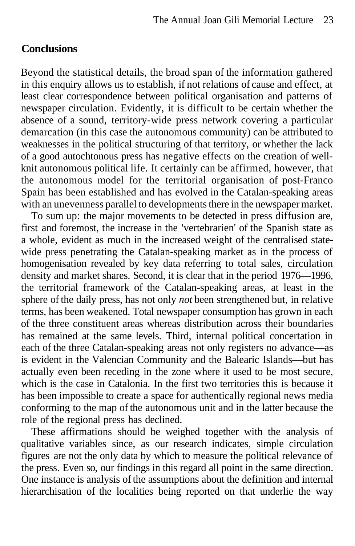### **Conclusions**

Beyond the statistical details, the broad span of the information gathered in this enquiry allows us to establish, if not relations of cause and effect, at least clear correspondence between political organisation and patterns of newspaper circulation. Evidently, it is difficult to be certain whether the absence of a sound, territory-wide press network covering a particular demarcation (in this case the autonomous community) can be attributed to weaknesses in the political structuring of that territory, or whether the lack of a good autochtonous press has negative effects on the creation of wellknit autonomous political life. It certainly can be affirmed, however, that the autonomous model for the territorial organisation of post-Franco Spain has been established and has evolved in the Catalan-speaking areas with an unevenness parallel to developments there in the newspaper market.

To sum up: the major movements to be detected in press diffusion are, first and foremost, the increase in the 'vertebrarien' of the Spanish state as a whole, evident as much in the increased weight of the centralised statewide press penetrating the Catalan-speaking market as in the process of homogenisation revealed by key data referring to total sales, circulation density and market shares. Second, it is clear that in the period 1976—1996, the territorial framework of the Catalan-speaking areas, at least in the sphere of the daily press, has not only *not* been strengthened but, in relative terms, has been weakened. Total newspaper consumption has grown in each of the three constituent areas whereas distribution across their boundaries has remained at the same levels. Third, internal political concertation in each of the three Catalan-speaking areas not only registers no advance—as is evident in the Valencian Community and the Balearic Islands—but has actually even been receding in the zone where it used to be most secure, which is the case in Catalonia. In the first two territories this is because it has been impossible to create a space for authentically regional news media conforming to the map of the autonomous unit and in the latter because the role of the regional press has declined.

These affirmations should be weighed together with the analysis of qualitative variables since, as our research indicates, simple circulation figures are not the only data by which to measure the political relevance of the press. Even so, our findings in this regard all point in the same direction. One instance is analysis of the assumptions about the definition and internal hierarchisation of the localities being reported on that underlie the way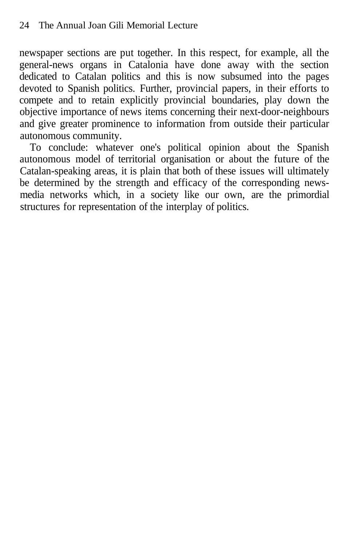newspaper sections are put together. In this respect, for example, all the general-news organs in Catalonia have done away with the section dedicated to Catalan politics and this is now subsumed into the pages devoted to Spanish politics. Further, provincial papers, in their efforts to compete and to retain explicitly provincial boundaries, play down the objective importance of news items concerning their next-door-neighbours and give greater prominence to information from outside their particular autonomous community.

To conclude: whatever one's political opinion about the Spanish autonomous model of territorial organisation or about the future of the Catalan-speaking areas, it is plain that both of these issues will ultimately be determined by the strength and efficacy of the corresponding newsmedia networks which, in a society like our own, are the primordial structures for representation of the interplay of politics.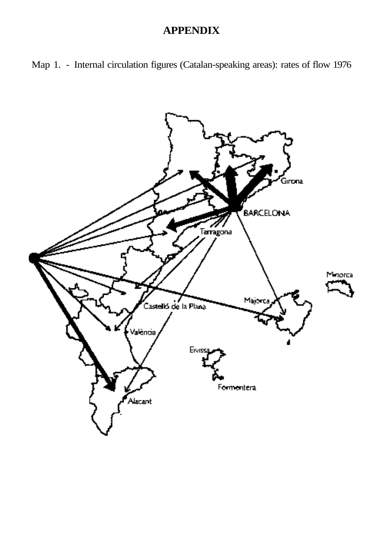# **APPENDIX**



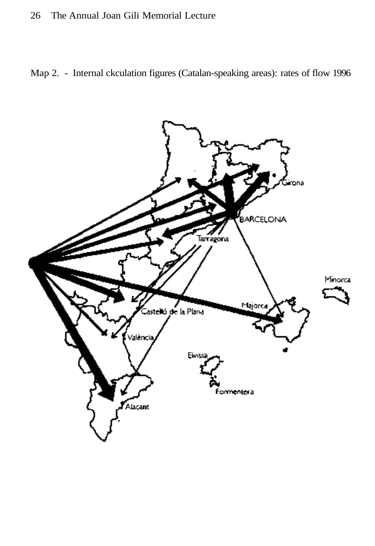### 26 The Annual Joan Gili Memorial Lecture

Map 2. - Internal ckculation figures (Catalan-speaking areas): rates of flow 1996

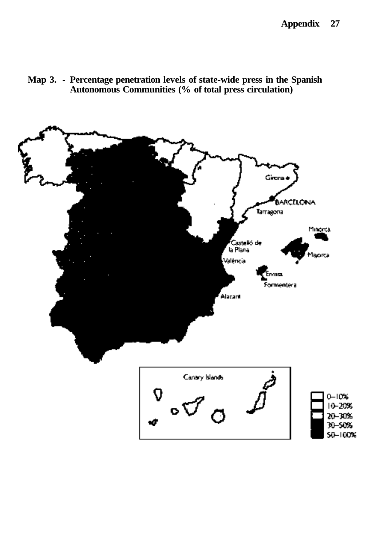

**Map 3. - Percentage penetration levels of state-wide press in the Spanish Autonomous Communities (% of total press circulation)**